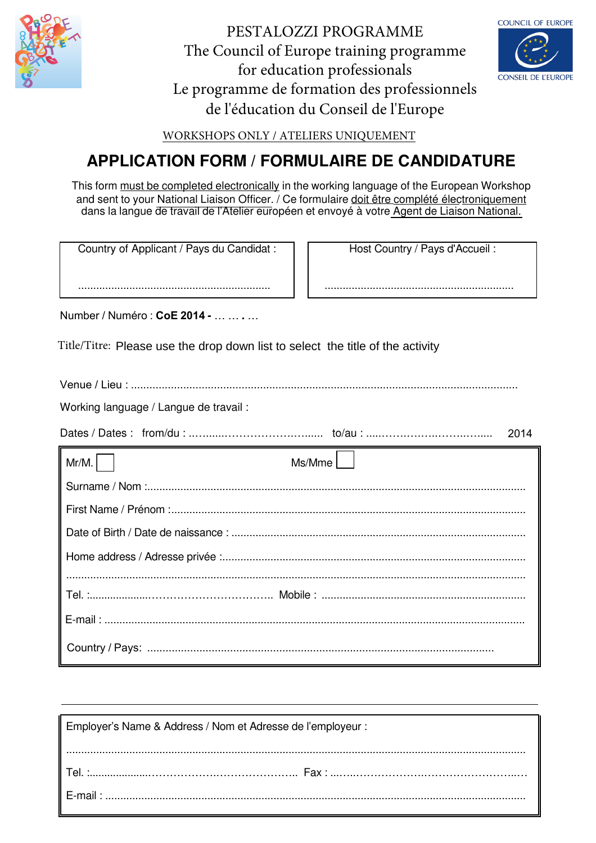

PESTALOZZI PROGRAMME The Council of Europe training programme for education professionals Le programme de formation des professionnels de l'éducation du Conseil de l'Europe



WORKSHOPS ONLY / ATELIERS UNIQUEMENT

# **APPLICATION FORM / FORMULAIRE DE CANDIDATURE**

This form must be completed electronically in the working language of the European Workshop and sent to your National Liaison Officer. / Ce formulaire doit être complété électroniquement dans la langue de travail de l'Atelier européen et envoyé à votre Agent de Liaison National.

Country of Applicant / Pays du Candidat :

Host Country / Pays d'Accueil:

Number / Numéro : CoF 2014 -

Title/Titre: Please use the drop down list to select the title of the activity

Working language / Langue de travail : 2014  $Mr/M$ . Ms/Mme 

| Employer's Name & Address / Nom et Adresse de l'employeur : |  |  |
|-------------------------------------------------------------|--|--|
|                                                             |  |  |
|                                                             |  |  |
|                                                             |  |  |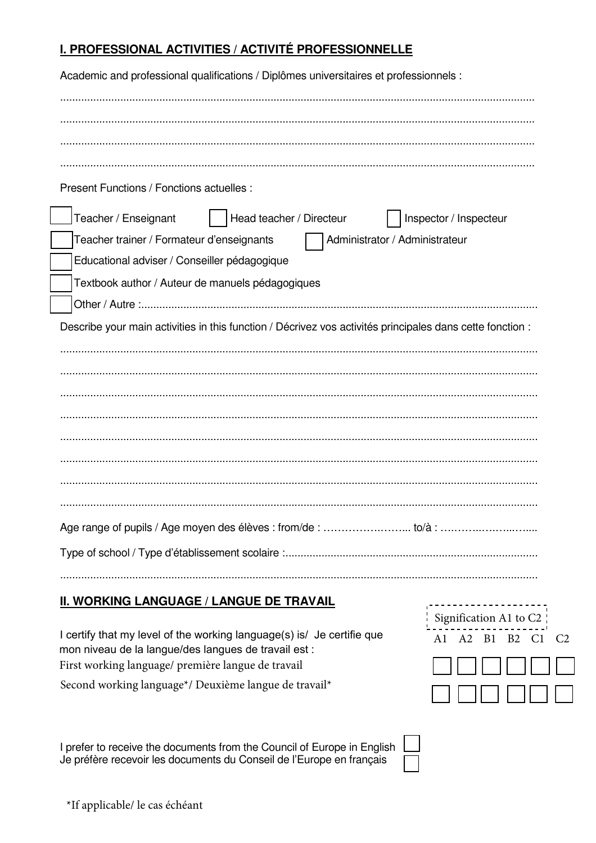# I. PROFESSIONAL ACTIVITIES / ACTIVITÉ PROFESSIONNELLE

| Academic and professional qualifications / Diplômes universitaires et professionnels :                                                                                                                                                                                                                                             |
|------------------------------------------------------------------------------------------------------------------------------------------------------------------------------------------------------------------------------------------------------------------------------------------------------------------------------------|
|                                                                                                                                                                                                                                                                                                                                    |
|                                                                                                                                                                                                                                                                                                                                    |
|                                                                                                                                                                                                                                                                                                                                    |
|                                                                                                                                                                                                                                                                                                                                    |
| Present Functions / Fonctions actuelles :                                                                                                                                                                                                                                                                                          |
| Head teacher / Directeur<br>Teacher / Enseignant<br>Inspector / Inspecteur                                                                                                                                                                                                                                                         |
| Teacher trainer / Formateur d'enseignants<br>Administrator / Administrateur                                                                                                                                                                                                                                                        |
| Educational adviser / Conseiller pédagogique                                                                                                                                                                                                                                                                                       |
| Textbook author / Auteur de manuels pédagogiques                                                                                                                                                                                                                                                                                   |
|                                                                                                                                                                                                                                                                                                                                    |
| Describe your main activities in this function / Décrivez vos activités principales dans cette fonction :                                                                                                                                                                                                                          |
|                                                                                                                                                                                                                                                                                                                                    |
|                                                                                                                                                                                                                                                                                                                                    |
|                                                                                                                                                                                                                                                                                                                                    |
|                                                                                                                                                                                                                                                                                                                                    |
|                                                                                                                                                                                                                                                                                                                                    |
|                                                                                                                                                                                                                                                                                                                                    |
|                                                                                                                                                                                                                                                                                                                                    |
|                                                                                                                                                                                                                                                                                                                                    |
|                                                                                                                                                                                                                                                                                                                                    |
|                                                                                                                                                                                                                                                                                                                                    |
|                                                                                                                                                                                                                                                                                                                                    |
| $\mathbf{1}$ $\mathbf{1}$ $\mathbf{1}$ $\mathbf{2}$ $\mathbf{5}$ $\mathbf{5}$ $\mathbf{1}$ $\mathbf{1}$ $\mathbf{1}$ $\mathbf{1}$ $\mathbf{1}$ $\mathbf{1}$ $\mathbf{1}$ $\mathbf{1}$ $\mathbf{1}$ $\mathbf{1}$ $\mathbf{1}$ $\mathbf{1}$ $\mathbf{1}$ $\mathbf{1}$ $\mathbf{1}$ $\mathbf{1}$ $\mathbf{1}$ $\mathbf{1}$ $\mathbf{$ |

## <u>II. WORKING LANGUAGE / LANGUE DE TRAVAIL</u>

I certify that my level of the working language(s) is/ Je certifie que mon niveau de la langue/des langues de travail est : First working language/ première langue de travail Second working language\*/ Deuxième langue de travail\*

Signification A1 to C2 A1 A2 B1 B2 C1 C2

I prefer to receive the documents from the Council of Europe in English Je préfère recevoir les documents du Conseil de l'Europe en français

 $\overline{\phantom{a}}$ 

 $\sqrt{\phantom{a}}$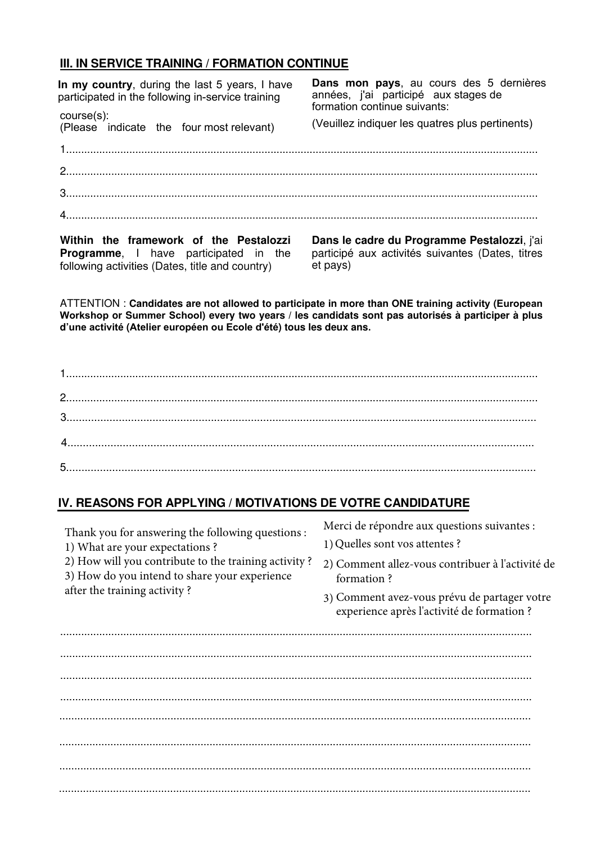#### III. IN SERVICE TRAINING / FORMATION CONTINUE

| In my country, during the last 5 years, I have<br>participated in the following in-service training<br>$course(s)$ :<br>course(s):<br>(Please indicate the four most relevant) | Dans mon pays, au cours des 5 dernières<br>années, j'ai participé aux stages de<br>formation continue suivants:<br>(Veuillez indiquer les quatres plus pertinents) |
|--------------------------------------------------------------------------------------------------------------------------------------------------------------------------------|--------------------------------------------------------------------------------------------------------------------------------------------------------------------|
|                                                                                                                                                                                |                                                                                                                                                                    |
|                                                                                                                                                                                |                                                                                                                                                                    |
|                                                                                                                                                                                |                                                                                                                                                                    |

Within the framework of the Pestalozzi Programme, I have participated in the following activities (Dates, title and country)

Dans le cadre du Programme Pestalozzi, j'ai participé aux activités suivantes (Dates, titres et pays)

ATTENTION: Candidates are not allowed to participate in more than ONE training activity (European Workshop or Summer School) every two years / les candidats sont pas autorisés à participer à plus d'une activité (Atelier européen ou École d'été) tous les deux ans.

## IV. REASONS FOR APPLYING / MOTIVATIONS DE VOTRE CANDIDATURE

| Thank you for answering the following questions :<br>1) What are your expectations?<br>2) How will you contribute to the training activity?<br>3) How do you intend to share your experience<br>after the training activity? | Merci de répondre aux questions suivantes :<br>1) Quelles sont vos attentes ?<br>2) Comment allez-vous contribuer à l'activité de<br>formation?<br>3) Comment avez-vous prévu de partager votre<br>experience après l'activité de formation ? |
|------------------------------------------------------------------------------------------------------------------------------------------------------------------------------------------------------------------------------|-----------------------------------------------------------------------------------------------------------------------------------------------------------------------------------------------------------------------------------------------|
|                                                                                                                                                                                                                              |                                                                                                                                                                                                                                               |
|                                                                                                                                                                                                                              |                                                                                                                                                                                                                                               |
|                                                                                                                                                                                                                              |                                                                                                                                                                                                                                               |
|                                                                                                                                                                                                                              |                                                                                                                                                                                                                                               |